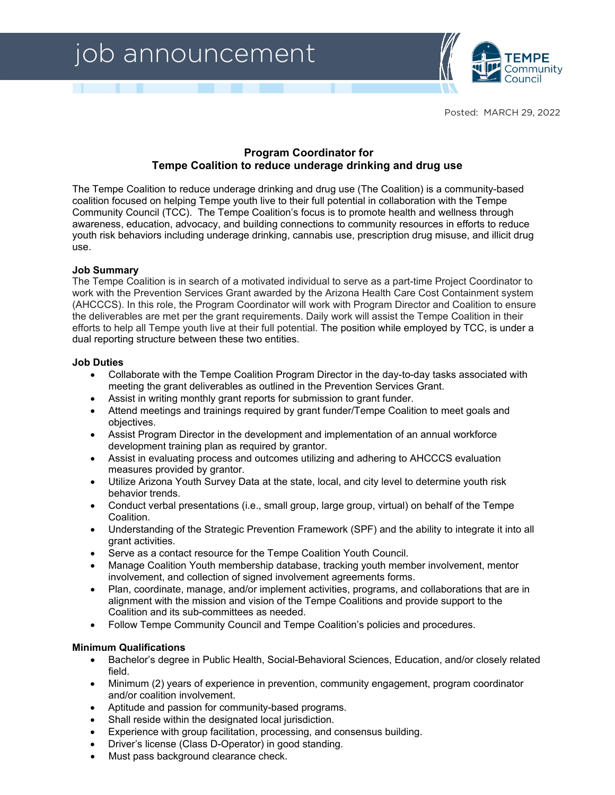# job announcement



Posted: MARCH 29, 2022

# **Program Coordinator for Tempe Coalition to reduce underage drinking and drug use**

The Tempe Coalition to reduce underage drinking and drug use (The Coalition) is a community-based coalition focused on helping Tempe youth live to their full potential in collaboration with the Tempe Community Council (TCC). The Tempe Coalition's focus is to promote health and wellness through awareness, education, advocacy, and building connections to community resources in efforts to reduce youth risk behaviors including underage drinking, cannabis use, prescription drug misuse, and illicit drug use.

# **Job Summary**

The Tempe Coalition is in search of a motivated individual to serve as a part-time Project Coordinator to work with the Prevention Services Grant awarded by the Arizona Health Care Cost Containment system (AHCCCS). In this role, the Program Coordinator will work with Program Director and Coalition to ensure the deliverables are met per the grant requirements. Daily work will assist the Tempe Coalition in their efforts to help all Tempe youth live at their full potential. The position while employed by TCC, is under a dual reporting structure between these two entities.

### **Job Duties**

- Collaborate with the Tempe Coalition Program Director in the day-to-day tasks associated with meeting the grant deliverables as outlined in the Prevention Services Grant.
- Assist in writing monthly grant reports for submission to grant funder.
- Attend meetings and trainings required by grant funder/Tempe Coalition to meet goals and objectives.
- Assist Program Director in the development and implementation of an annual workforce development training plan as required by grantor.
- Assist in evaluating process and outcomes utilizing and adhering to AHCCCS evaluation measures provided by grantor.
- Utilize Arizona Youth Survey Data at the state, local, and city level to determine youth risk behavior trends.
- Conduct verbal presentations (i.e., small group, large group, virtual) on behalf of the Tempe Coalition.
- Understanding of the Strategic Prevention Framework (SPF) and the ability to integrate it into all grant activities.
- Serve as a contact resource for the Tempe Coalition Youth Council.
- Manage Coalition Youth membership database, tracking youth member involvement, mentor involvement, and collection of signed involvement agreements forms.
- Plan, coordinate, manage, and/or implement activities, programs, and collaborations that are in alignment with the mission and vision of the Tempe Coalitions and provide support to the Coalition and its sub-committees as needed.
- Follow Tempe Community Council and Tempe Coalition's policies and procedures.

#### **Minimum Qualifications**

- Bachelor's degree in Public Health, Social-Behavioral Sciences, Education, and/or closely related field.
- Minimum (2) years of experience in prevention, community engagement, program coordinator and/or coalition involvement.
- Aptitude and passion for community-based programs.
- Shall reside within the designated local jurisdiction.
- Experience with group facilitation, processing, and consensus building.
- Driver's license (Class D-Operator) in good standing.
- Must pass background clearance check.